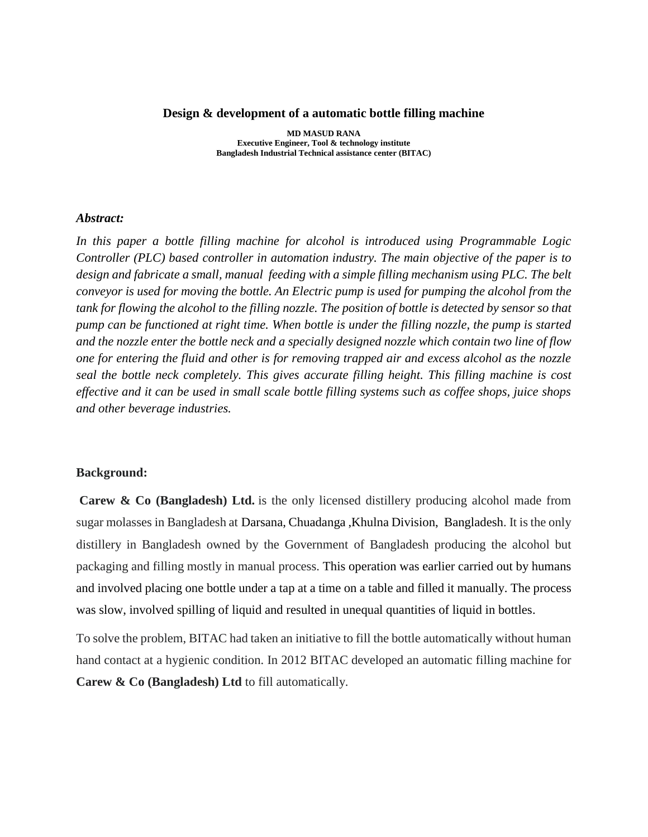#### **Design & development of a automatic bottle filling machine**

**MD MASUD RANA Executive Engineer, Tool & technology institute Bangladesh Industrial Technical assistance center (BITAC)**

#### *Abstract:*

*In this paper a bottle filling machine for alcohol is introduced using Programmable Logic Controller (PLC) based controller in automation industry. The main objective of the paper is to design and fabricate a small, manual feeding with a simple filling mechanism using PLC. The belt conveyor is used for moving the bottle. An Electric pump is used for pumping the alcohol from the tank for flowing the alcohol to the filling nozzle. The position of bottle is detected by sensor so that pump can be functioned at right time. When bottle is under the filling nozzle, the pump is started and the nozzle enter the bottle neck and a specially designed nozzle which contain two line of flow one for entering the fluid and other is for removing trapped air and excess alcohol as the nozzle seal the bottle neck completely. This gives accurate filling height. This filling machine is cost effective and it can be used in small scale bottle filling systems such as coffee shops, juice shops and other beverage industries.*

## **Background:**

**Carew & Co (Bangladesh) Ltd.** is the only licensed distillery producing alcohol made from sugar molasses in Bangladesh at Darsana, [Chuadanga](https://en.wikipedia.org/wiki/Darsana,_Chuadanga,_Bangladesh) [,Khulna Division,](https://en.wikipedia.org/wiki/Khulna_Division) [Bangladesh.](https://en.wikipedia.org/wiki/Bangladesh) It is the only distillery in Bangladesh owned by the Government of Bangladesh producing the alcohol but packaging and filling mostly in manual process. This operation was earlier carried out by humans and involved placing one bottle under a tap at a time on a table and filled it manually. The process was slow, involved spilling of liquid and resulted in unequal quantities of liquid in bottles.

To solve the problem, BITAC had taken an initiative to fill the bottle automatically without human hand contact at a hygienic condition. In 2012 BITAC developed an automatic filling machine for **Carew & Co (Bangladesh) Ltd** to fill automatically.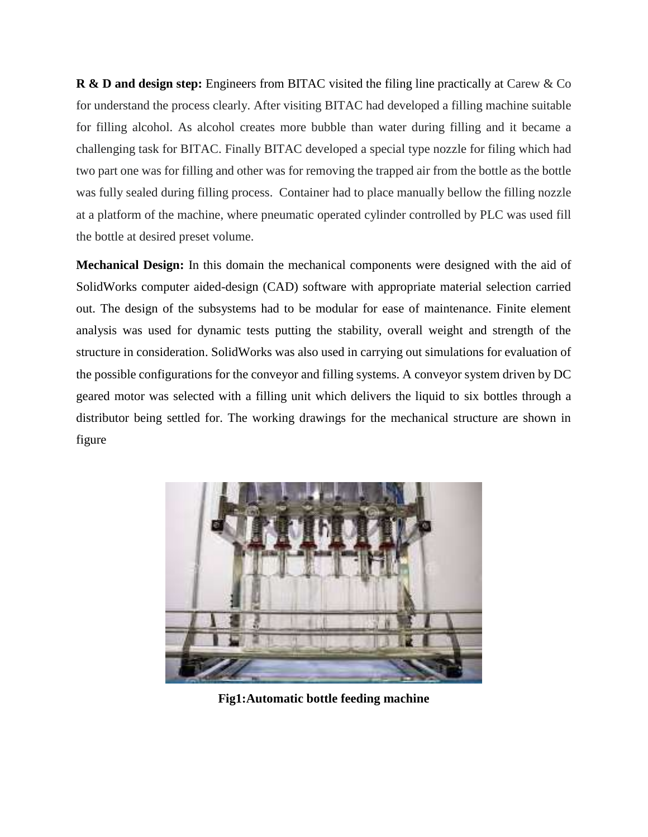**R & D and design step:** Engineers from BITAC visited the filing line practically at Carew & Co for understand the process clearly. After visiting BITAC had developed a filling machine suitable for filling alcohol. As alcohol creates more bubble than water during filling and it became a challenging task for BITAC. Finally BITAC developed a special type nozzle for filing which had two part one was for filling and other was for removing the trapped air from the bottle as the bottle was fully sealed during filling process. Container had to place manually bellow the filling nozzle at a platform of the machine, where pneumatic operated cylinder controlled by PLC was used fill the bottle at desired preset volume.

**Mechanical Design:** In this domain the mechanical components were designed with the aid of SolidWorks computer aided-design (CAD) software with appropriate material selection carried out. The design of the subsystems had to be modular for ease of maintenance. Finite element analysis was used for dynamic tests putting the stability, overall weight and strength of the structure in consideration. SolidWorks was also used in carrying out simulations for evaluation of the possible configurations for the conveyor and filling systems. A conveyor system driven by DC geared motor was selected with a filling unit which delivers the liquid to six bottles through a distributor being settled for. The working drawings for the mechanical structure are shown in figure



**Fig1:Automatic bottle feeding machine**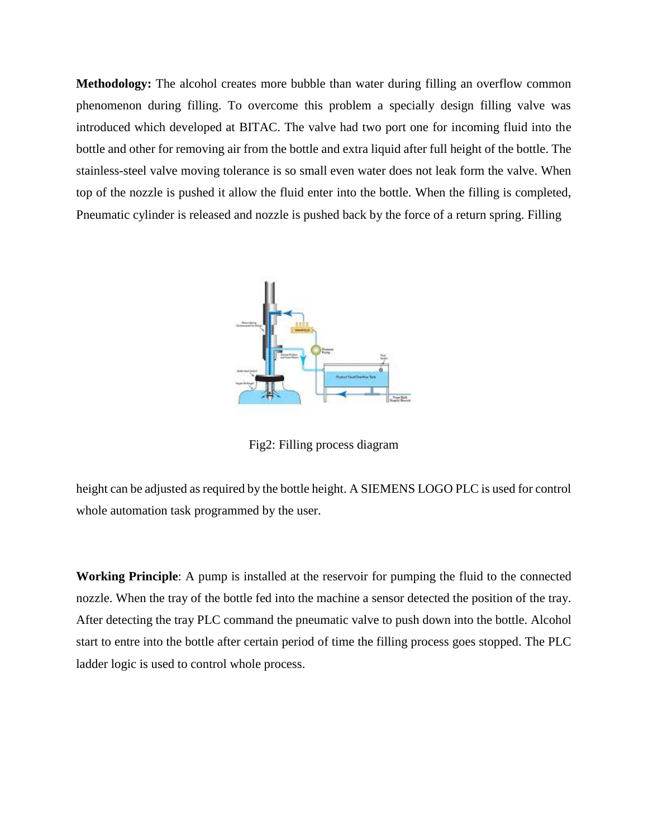**Methodology:** The alcohol creates more bubble than water during filling an overflow common phenomenon during filling. To overcome this problem a specially design filling valve was introduced which developed at BITAC. The valve had two port one for incoming fluid into the bottle and other for removing air from the bottle and extra liquid after full height of the bottle. The stainless-steel valve moving tolerance is so small even water does not leak form the valve. When top of the nozzle is pushed it allow the fluid enter into the bottle. When the filling is completed, Pneumatic cylinder is released and nozzle is pushed back by the force of a return spring. Filling



Fig2: Filling process diagram

height can be adjusted as required by the bottle height. A SIEMENS LOGO PLC is used for control whole automation task programmed by the user.

**Working Principle**: A pump is installed at the reservoir for pumping the fluid to the connected nozzle. When the tray of the bottle fed into the machine a sensor detected the position of the tray. After detecting the tray PLC command the pneumatic valve to push down into the bottle. Alcohol start to entre into the bottle after certain period of time the filling process goes stopped. The PLC ladder logic is used to control whole process.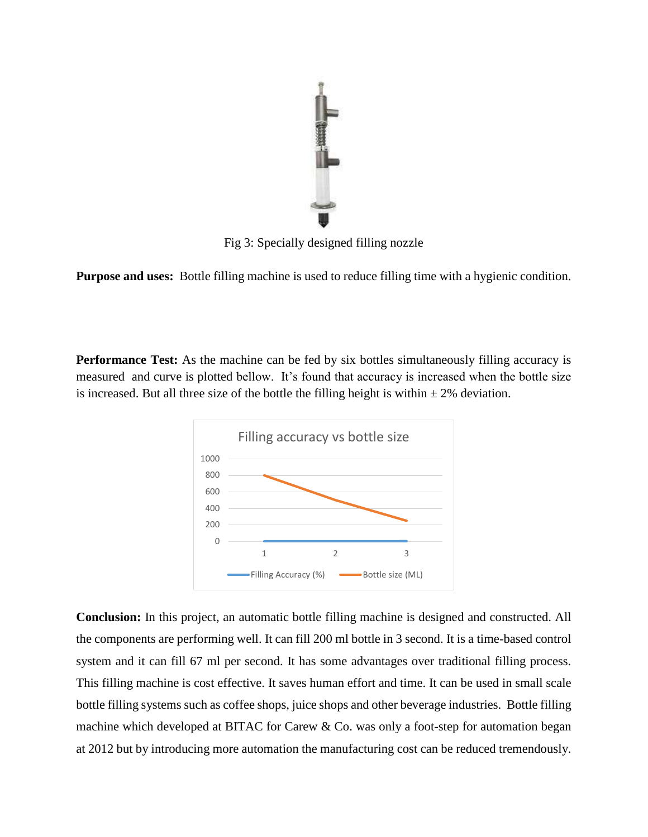

Fig 3: Specially designed filling nozzle

**Purpose and uses:** Bottle filling machine is used to reduce filling time with a hygienic condition.

**Performance Test:** As the machine can be fed by six bottles simultaneously filling accuracy is measured and curve is plotted bellow. It's found that accuracy is increased when the bottle size is increased. But all three size of the bottle the filling height is within  $\pm 2\%$  deviation.



**Conclusion:** In this project, an automatic bottle filling machine is designed and constructed. All the components are performing well. It can fill 200 ml bottle in 3 second. It is a time-based control system and it can fill 67 ml per second. It has some advantages over traditional filling process. This filling machine is cost effective. It saves human effort and time. It can be used in small scale bottle filling systems such as coffee shops, juice shops and other beverage industries. Bottle filling machine which developed at BITAC for Carew & Co. was only a foot-step for automation began at 2012 but by introducing more automation the manufacturing cost can be reduced tremendously.